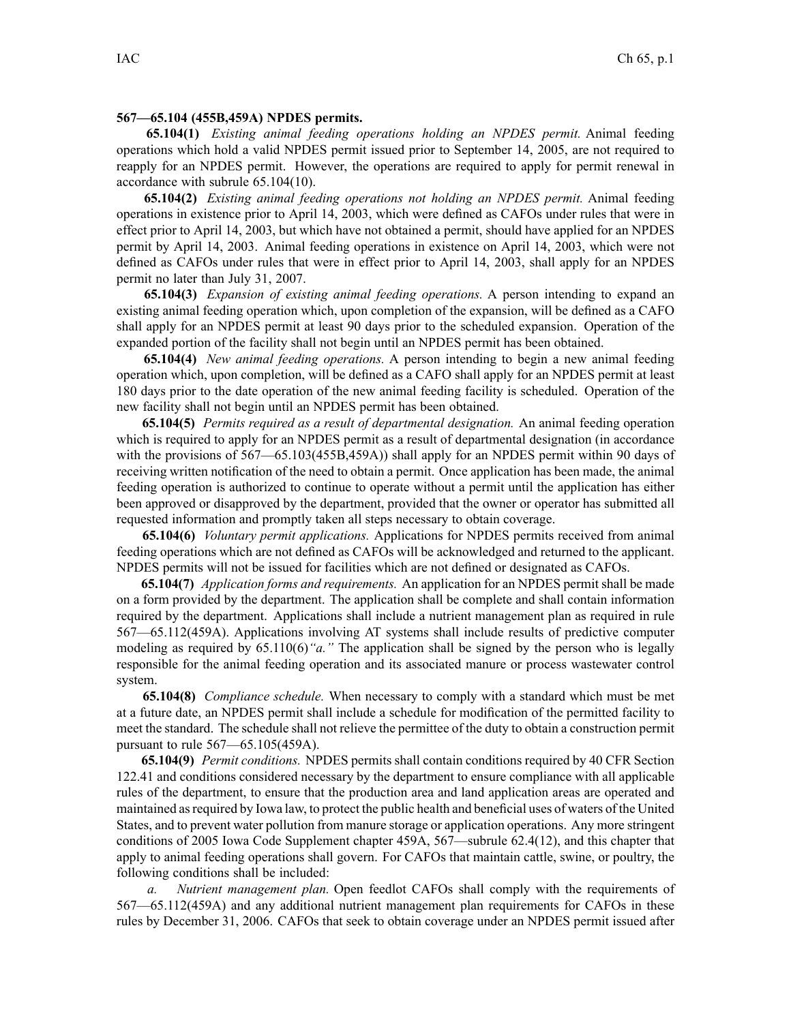## **567—65.104 (455B,459A) NPDES permits.**

**65.104(1)** *Existing animal feeding operations holding an NPDES permit.* Animal feeding operations which hold <sup>a</sup> valid NPDES permit issued prior to September 14, 2005, are not required to reapply for an NPDES permit. However, the operations are required to apply for permit renewal in accordance with subrule 65.104(10).

**65.104(2)** *Existing animal feeding operations not holding an NPDES permit.* Animal feeding operations in existence prior to April 14, 2003, which were defined as CAFOs under rules that were in effect prior to April 14, 2003, but which have not obtained <sup>a</sup> permit, should have applied for an NPDES permit by April 14, 2003. Animal feeding operations in existence on April 14, 2003, which were not defined as CAFOs under rules that were in effect prior to April 14, 2003, shall apply for an NPDES permit no later than July 31, 2007.

**65.104(3)** *Expansion of existing animal feeding operations.* A person intending to expand an existing animal feeding operation which, upon completion of the expansion, will be defined as <sup>a</sup> CAFO shall apply for an NPDES permit at least 90 days prior to the scheduled expansion. Operation of the expanded portion of the facility shall not begin until an NPDES permit has been obtained.

**65.104(4)** *New animal feeding operations.* A person intending to begin <sup>a</sup> new animal feeding operation which, upon completion, will be defined as <sup>a</sup> CAFO shall apply for an NPDES permit at least 180 days prior to the date operation of the new animal feeding facility is scheduled. Operation of the new facility shall not begin until an NPDES permit has been obtained.

**65.104(5)** *Permits required as <sup>a</sup> result of departmental designation.* An animal feeding operation which is required to apply for an NPDES permit as <sup>a</sup> result of departmental designation (in accordance with the provisions of  $567$ —65.103(455B,459A)) shall apply for an NPDES permit within 90 days of receiving written notification of the need to obtain <sup>a</sup> permit. Once application has been made, the animal feeding operation is authorized to continue to operate without <sup>a</sup> permit until the application has either been approved or disapproved by the department, provided that the owner or operator has submitted all requested information and promptly taken all steps necessary to obtain coverage.

**65.104(6)** *Voluntary permit applications.* Applications for NPDES permits received from animal feeding operations which are not defined as CAFOs will be acknowledged and returned to the applicant. NPDES permits will not be issued for facilities which are not defined or designated as CAFOs.

**65.104(7)** *Application forms and requirements.* An application for an NPDES permit shall be made on <sup>a</sup> form provided by the department. The application shall be complete and shall contain information required by the department. Applications shall include <sup>a</sup> nutrient managemen<sup>t</sup> plan as required in rule 567—65.112(459A). Applications involving AT systems shall include results of predictive computer modeling as required by 65.110(6)*"a."* The application shall be signed by the person who is legally responsible for the animal feeding operation and its associated manure or process wastewater control system.

**65.104(8)** *Compliance schedule.* When necessary to comply with <sup>a</sup> standard which must be met at <sup>a</sup> future date, an NPDES permit shall include <sup>a</sup> schedule for modification of the permitted facility to meet the standard. The schedule shall not relieve the permittee of the duty to obtain <sup>a</sup> construction permit pursuan<sup>t</sup> to rule 567—65.105(459A).

**65.104(9)** *Permit conditions.* NPDES permits shall contain conditions required by 40 CFR Section 122.41 and conditions considered necessary by the department to ensure compliance with all applicable rules of the department, to ensure that the production area and land application areas are operated and maintained asrequired by Iowa law, to protect the public health and beneficial uses of waters of the United States, and to preven<sup>t</sup> water pollution from manure storage or application operations. Any more stringent conditions of 2005 Iowa Code Supplement chapter 459A, 567—subrule 62.4(12), and this chapter that apply to animal feeding operations shall govern. For CAFOs that maintain cattle, swine, or poultry, the following conditions shall be included:

*a. Nutrient managemen<sup>t</sup> plan.* Open feedlot CAFOs shall comply with the requirements of 567—65.112(459A) and any additional nutrient managemen<sup>t</sup> plan requirements for CAFOs in these rules by December 31, 2006. CAFOs that seek to obtain coverage under an NPDES permit issued after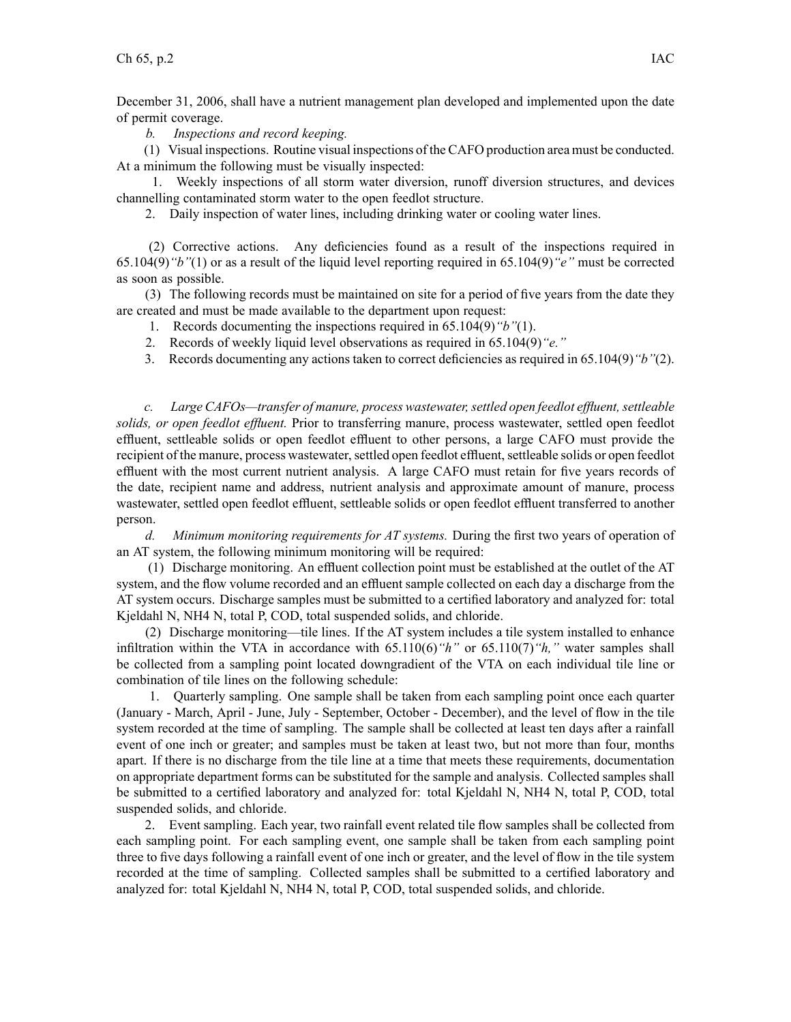December 31, 2006, shall have <sup>a</sup> nutrient managemen<sup>t</sup> plan developed and implemented upon the date of permit coverage.

*b. Inspections and record keeping.*

(1) Visual inspections. Routine visual inspections of the CAFO production area must be conducted. At <sup>a</sup> minimum the following must be visually inspected:

1. Weekly inspections of all storm water diversion, runoff diversion structures, and devices channelling contaminated storm water to the open feedlot structure.

2. Daily inspection of water lines, including drinking water or cooling water lines.

(2) Corrective actions. Any deficiencies found as <sup>a</sup> result of the inspections required in 65.104(9)*"b"*(1) or as <sup>a</sup> result of the liquid level reporting required in 65.104(9)*"e"* must be corrected as soon as possible.

(3) The following records must be maintained on site for <sup>a</sup> period of five years from the date they are created and must be made available to the department upon request:

1. Records documenting the inspections required in 65.104(9)*"b"*(1).

2. Records of weekly liquid level observations as required in 65.104(9)*"e."*

3. Records documenting any actions taken to correct deficiencies as required in 65.104(9)*"b"*(2).

*c. Large CAFOs—transfer of manure, process wastewater,settled open feedlot effluent,settleable solids, or open feedlot effluent.* Prior to transferring manure, process wastewater, settled open feedlot effluent, settleable solids or open feedlot effluent to other persons, <sup>a</sup> large CAFO must provide the recipient of the manure, process wastewater, settled open feedlot effluent, settleable solids or open feedlot effluent with the most current nutrient analysis. A large CAFO must retain for five years records of the date, recipient name and address, nutrient analysis and approximate amount of manure, process wastewater, settled open feedlot effluent, settleable solids or open feedlot effluent transferred to another person.

*d. Minimum monitoring requirements for AT systems.* During the first two years of operation of an AT system, the following minimum monitoring will be required:

(1) Discharge monitoring. An effluent collection point must be established at the outlet of the AT system, and the flow volume recorded and an effluent sample collected on each day <sup>a</sup> discharge from the AT system occurs. Discharge samples must be submitted to <sup>a</sup> certified laboratory and analyzed for: total Kjeldahl N, NH4 N, total P, COD, total suspended solids, and chloride.

(2) Discharge monitoring—tile lines. If the AT system includes <sup>a</sup> tile system installed to enhance infiltration within the VTA in accordance with 65.110(6)*"h"* or 65.110(7)*"h,"* water samples shall be collected from <sup>a</sup> sampling point located downgradient of the VTA on each individual tile line or combination of tile lines on the following schedule:

1. Quarterly sampling. One sample shall be taken from each sampling point once each quarter (January - March, April - June, July - September, October - December), and the level of flow in the tile system recorded at the time of sampling. The sample shall be collected at least ten days after <sup>a</sup> rainfall event of one inch or greater; and samples must be taken at least two, but not more than four, months apart. If there is no discharge from the tile line at <sup>a</sup> time that meets these requirements, documentation on appropriate department forms can be substituted for the sample and analysis. Collected samples shall be submitted to <sup>a</sup> certified laboratory and analyzed for: total Kjeldahl N, NH4 N, total P, COD, total suspended solids, and chloride.

2. Event sampling. Each year, two rainfall event related tile flow samples shall be collected from each sampling point. For each sampling event, one sample shall be taken from each sampling point three to five days following <sup>a</sup> rainfall event of one inch or greater, and the level of flow in the tile system recorded at the time of sampling. Collected samples shall be submitted to <sup>a</sup> certified laboratory and analyzed for: total Kjeldahl N, NH4 N, total P, COD, total suspended solids, and chloride.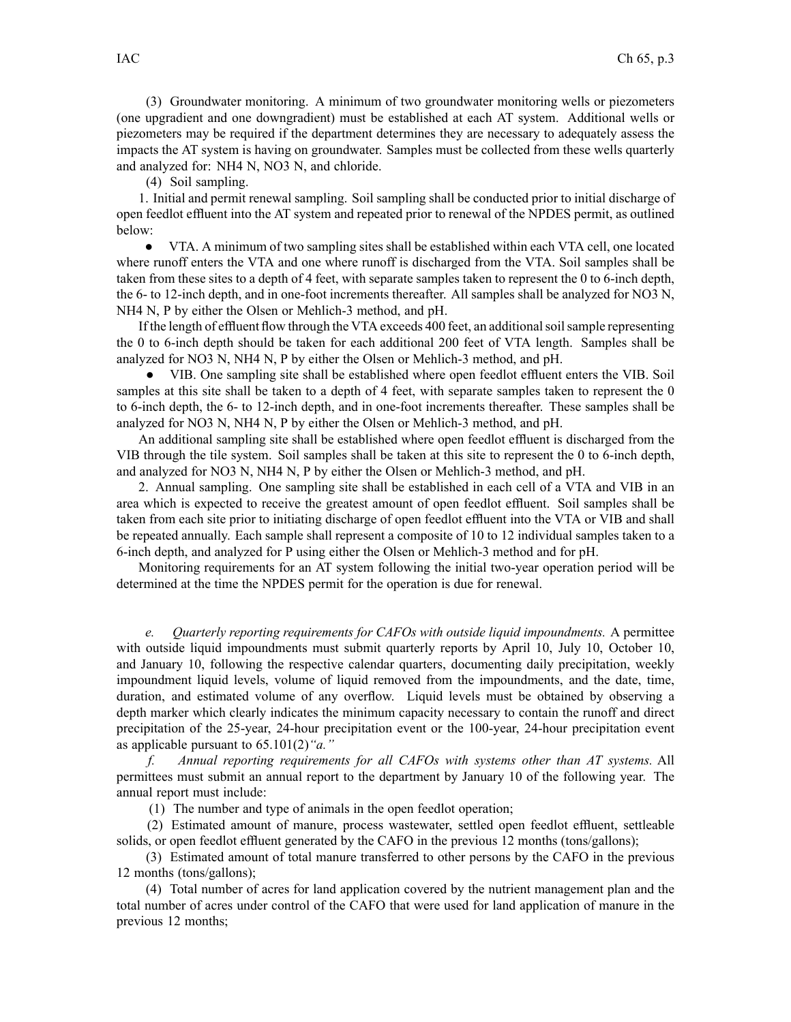(3) Groundwater monitoring. A minimum of two groundwater monitoring wells or piezometers (one upgradient and one downgradient) must be established at each AT system. Additional wells or piezometers may be required if the department determines they are necessary to adequately assess the impacts the AT system is having on groundwater. Samples must be collected from these wells quarterly and analyzed for: NH4 N, NO3 N, and chloride.

(4) Soil sampling.

1. Initial and permit renewal sampling. Soil sampling shall be conducted prior to initial discharge of open feedlot effluent into the AT system and repeated prior to renewal of the NPDES permit, as outlined below:

● VTA. Aminimum of two sampling sites shall be established within each VTA cell, one located where runoff enters the VTA and one where runoff is discharged from the VTA. Soil samples shall be taken from these sites to <sup>a</sup> depth of 4 feet, with separate samples taken to represen<sup>t</sup> the 0 to 6-inch depth, the 6- to 12-inch depth, and in one-foot increments thereafter. All samples shall be analyzed for NO3 N, NH4 N, P by either the Olsen or Mehlich-3 method, and pH.

If the length of effluent flow through the VTA exceeds 400 feet, an additionalsoilsample representing the 0 to 6-inch depth should be taken for each additional 200 feet of VTA length. Samples shall be analyzed for NO3 N, NH4 N, P by either the Olsen or Mehlich-3 method, and pH.

● VIB. One sampling site shall be established where open feedlot effluent enters the VIB. Soil samples at this site shall be taken to a depth of 4 feet, with separate samples taken to represent the 0 to 6-inch depth, the 6- to 12-inch depth, and in one-foot increments thereafter. These samples shall be analyzed for NO3 N, NH4 N, P by either the Olsen or Mehlich-3 method, and pH.

An additional sampling site shall be established where open feedlot effluent is discharged from the VIB through the tile system. Soil samples shall be taken at this site to represen<sup>t</sup> the 0 to 6-inch depth, and analyzed for NO3 N, NH4 N, P by either the Olsen or Mehlich-3 method, and pH.

2. Annual sampling. One sampling site shall be established in each cell of <sup>a</sup> VTA and VIB in an area which is expected to receive the greatest amount of open feedlot effluent. Soil samples shall be taken from each site prior to initiating discharge of open feedlot effluent into the VTA or VIB and shall be repeated annually. Each sample shall represen<sup>t</sup> <sup>a</sup> composite of 10 to 12 individual samples taken to <sup>a</sup> 6-inch depth, and analyzed for P using either the Olsen or Mehlich-3 method and for pH.

Monitoring requirements for an AT system following the initial two-year operation period will be determined at the time the NPDES permit for the operation is due for renewal.

*e. Quarterly reporting requirements for CAFOs with outside liquid impoundments.* A permittee with outside liquid impoundments must submit quarterly reports by April 10, July 10, October 10, and January 10, following the respective calendar quarters, documenting daily precipitation, weekly impoundment liquid levels, volume of liquid removed from the impoundments, and the date, time, duration, and estimated volume of any overflow. Liquid levels must be obtained by observing <sup>a</sup> depth marker which clearly indicates the minimum capacity necessary to contain the runoff and direct precipitation of the 25-year, 24-hour precipitation event or the 100-year, 24-hour precipitation event as applicable pursuan<sup>t</sup> to 65.101(2)*"a."*

*f. Annual reporting requirements for all CAFOs with systems other than AT systems.* All permittees must submit an annual repor<sup>t</sup> to the department by January 10 of the following year. The annual repor<sup>t</sup> must include:

(1) The number and type of animals in the open feedlot operation;

(2) Estimated amount of manure, process wastewater, settled open feedlot effluent, settleable solids, or open feedlot effluent generated by the CAFO in the previous 12 months (tons/gallons);

(3) Estimated amount of total manure transferred to other persons by the CAFO in the previous 12 months (tons/gallons);

(4) Total number of acres for land application covered by the nutrient managemen<sup>t</sup> plan and the total number of acres under control of the CAFO that were used for land application of manure in the previous 12 months;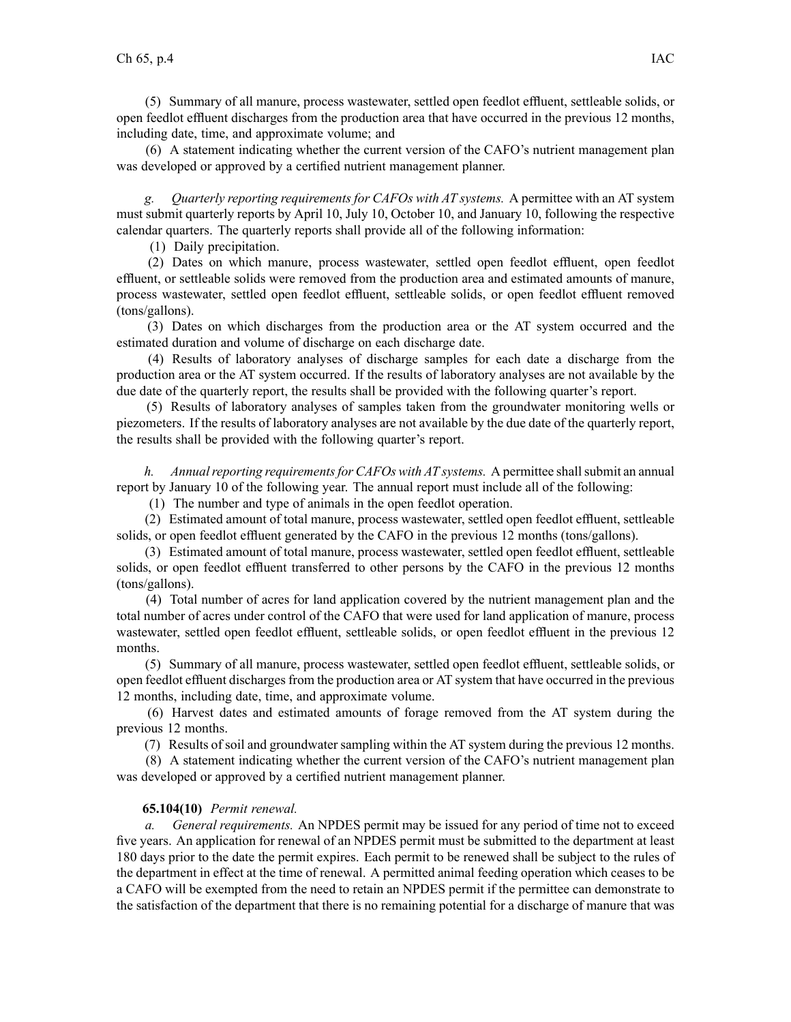(5) Summary of all manure, process wastewater, settled open feedlot effluent, settleable solids, or open feedlot effluent discharges from the production area that have occurred in the previous 12 months, including date, time, and approximate volume; and

(6) A statement indicating whether the current version of the CAFO's nutrient managemen<sup>t</sup> plan was developed or approved by <sup>a</sup> certified nutrient managemen<sup>t</sup> planner.

*g. Quarterly reporting requirements for CAFOs with AT systems.* A permittee with an AT system must submit quarterly reports by April 10, July 10, October 10, and January 10, following the respective calendar quarters. The quarterly reports shall provide all of the following information:

(1) Daily precipitation.

(2) Dates on which manure, process wastewater, settled open feedlot effluent, open feedlot effluent, or settleable solids were removed from the production area and estimated amounts of manure, process wastewater, settled open feedlot effluent, settleable solids, or open feedlot effluent removed (tons/gallons).

(3) Dates on which discharges from the production area or the AT system occurred and the estimated duration and volume of discharge on each discharge date.

(4) Results of laboratory analyses of discharge samples for each date <sup>a</sup> discharge from the production area or the AT system occurred. If the results of laboratory analyses are not available by the due date of the quarterly report, the results shall be provided with the following quarter's report.

(5) Results of laboratory analyses of samples taken from the groundwater monitoring wells or piezometers. If the results of laboratory analyses are not available by the due date of the quarterly report, the results shall be provided with the following quarter's report.

*h. Annual reporting requirements for CAFOs with AT systems.* A permittee shall submit an annual repor<sup>t</sup> by January 10 of the following year. The annual repor<sup>t</sup> must include all of the following:

(1) The number and type of animals in the open feedlot operation.

(2) Estimated amount of total manure, process wastewater, settled open feedlot effluent, settleable solids, or open feedlot effluent generated by the CAFO in the previous 12 months (tons/gallons).

(3) Estimated amount of total manure, process wastewater, settled open feedlot effluent, settleable solids, or open feedlot effluent transferred to other persons by the CAFO in the previous 12 months (tons/gallons).

(4) Total number of acres for land application covered by the nutrient managemen<sup>t</sup> plan and the total number of acres under control of the CAFO that were used for land application of manure, process wastewater, settled open feedlot effluent, settleable solids, or open feedlot effluent in the previous 12 months.

(5) Summary of all manure, process wastewater, settled open feedlot effluent, settleable solids, or open feedlot effluent dischargesfrom the production area or AT system that have occurred in the previous 12 months, including date, time, and approximate volume.

(6) Harvest dates and estimated amounts of forage removed from the AT system during the previous 12 months.

(7) Results of soil and groundwater sampling within the AT system during the previous 12 months.

(8) A statement indicating whether the current version of the CAFO's nutrient managemen<sup>t</sup> plan was developed or approved by <sup>a</sup> certified nutrient managemen<sup>t</sup> planner.

## **65.104(10)** *Permit renewal.*

*a. General requirements.* An NPDES permit may be issued for any period of time not to exceed five years. An application for renewal of an NPDES permit must be submitted to the department at least 180 days prior to the date the permit expires. Each permit to be renewed shall be subject to the rules of the department in effect at the time of renewal. A permitted animal feeding operation which ceases to be <sup>a</sup> CAFO will be exempted from the need to retain an NPDES permit if the permittee can demonstrate to the satisfaction of the department that there is no remaining potential for <sup>a</sup> discharge of manure that was